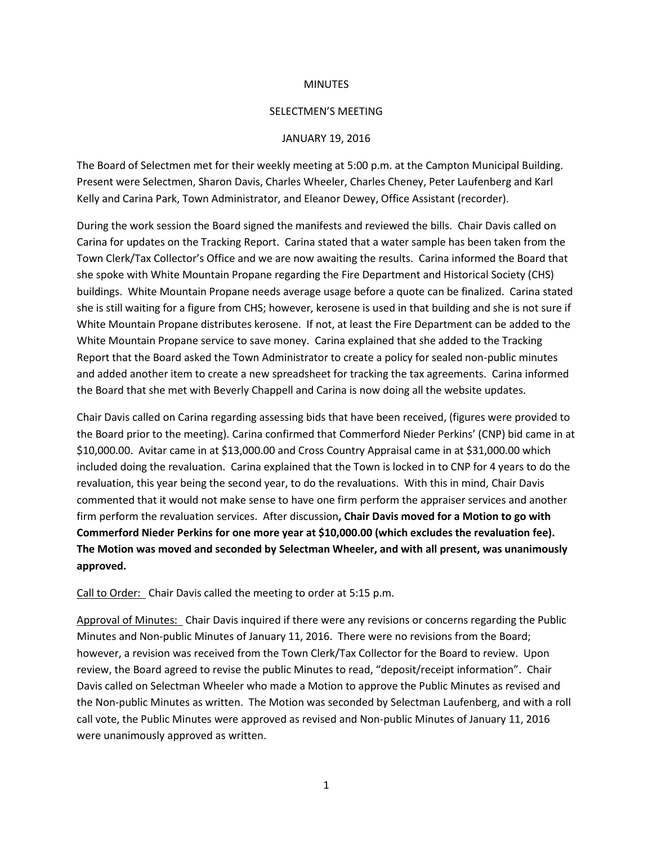## **MINUTES**

## SELECTMEN'S MEETING

## JANUARY 19, 2016

The Board of Selectmen met for their weekly meeting at 5:00 p.m. at the Campton Municipal Building. Present were Selectmen, Sharon Davis, Charles Wheeler, Charles Cheney, Peter Laufenberg and Karl Kelly and Carina Park, Town Administrator, and Eleanor Dewey, Office Assistant (recorder).

During the work session the Board signed the manifests and reviewed the bills. Chair Davis called on Carina for updates on the Tracking Report. Carina stated that a water sample has been taken from the Town Clerk/Tax Collector's Office and we are now awaiting the results. Carina informed the Board that she spoke with White Mountain Propane regarding the Fire Department and Historical Society (CHS) buildings. White Mountain Propane needs average usage before a quote can be finalized. Carina stated she is still waiting for a figure from CHS; however, kerosene is used in that building and she is not sure if White Mountain Propane distributes kerosene. If not, at least the Fire Department can be added to the White Mountain Propane service to save money. Carina explained that she added to the Tracking Report that the Board asked the Town Administrator to create a policy for sealed non-public minutes and added another item to create a new spreadsheet for tracking the tax agreements. Carina informed the Board that she met with Beverly Chappell and Carina is now doing all the website updates.

Chair Davis called on Carina regarding assessing bids that have been received, (figures were provided to the Board prior to the meeting). Carina confirmed that Commerford Nieder Perkins' (CNP) bid came in at \$10,000.00. Avitar came in at \$13,000.00 and Cross Country Appraisal came in at \$31,000.00 which included doing the revaluation. Carina explained that the Town is locked in to CNP for 4 years to do the revaluation, this year being the second year, to do the revaluations. With this in mind, Chair Davis commented that it would not make sense to have one firm perform the appraiser services and another firm perform the revaluation services. After discussion**, Chair Davis moved for a Motion to go with Commerford Nieder Perkins for one more year at \$10,000.00 (which excludes the revaluation fee). The Motion was moved and seconded by Selectman Wheeler, and with all present, was unanimously approved.**

Call to Order: Chair Davis called the meeting to order at 5:15 p.m.

Approval of Minutes: Chair Davis inquired if there were any revisions or concerns regarding the Public Minutes and Non-public Minutes of January 11, 2016. There were no revisions from the Board; however, a revision was received from the Town Clerk/Tax Collector for the Board to review. Upon review, the Board agreed to revise the public Minutes to read, "deposit/receipt information". Chair Davis called on Selectman Wheeler who made a Motion to approve the Public Minutes as revised and the Non-public Minutes as written. The Motion was seconded by Selectman Laufenberg, and with a roll call vote, the Public Minutes were approved as revised and Non-public Minutes of January 11, 2016 were unanimously approved as written.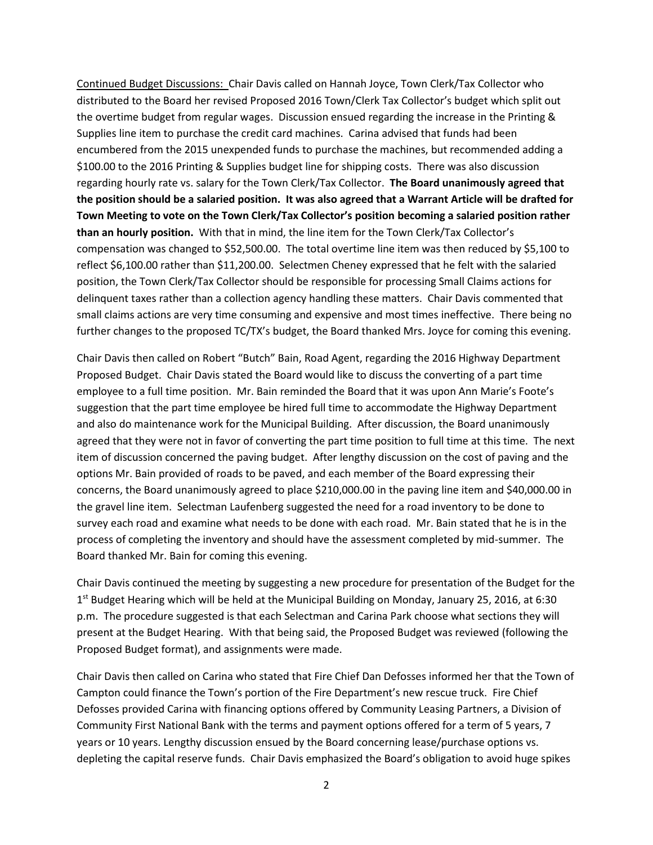Continued Budget Discussions: Chair Davis called on Hannah Joyce, Town Clerk/Tax Collector who distributed to the Board her revised Proposed 2016 Town/Clerk Tax Collector's budget which split out the overtime budget from regular wages. Discussion ensued regarding the increase in the Printing & Supplies line item to purchase the credit card machines. Carina advised that funds had been encumbered from the 2015 unexpended funds to purchase the machines, but recommended adding a \$100.00 to the 2016 Printing & Supplies budget line for shipping costs. There was also discussion regarding hourly rate vs. salary for the Town Clerk/Tax Collector. **The Board unanimously agreed that the position should be a salaried position. It was also agreed that a Warrant Article will be drafted for Town Meeting to vote on the Town Clerk/Tax Collector's position becoming a salaried position rather than an hourly position.** With that in mind, the line item for the Town Clerk/Tax Collector's compensation was changed to \$52,500.00. The total overtime line item was then reduced by \$5,100 to reflect \$6,100.00 rather than \$11,200.00. Selectmen Cheney expressed that he felt with the salaried position, the Town Clerk/Tax Collector should be responsible for processing Small Claims actions for delinquent taxes rather than a collection agency handling these matters. Chair Davis commented that small claims actions are very time consuming and expensive and most times ineffective. There being no further changes to the proposed TC/TX's budget, the Board thanked Mrs. Joyce for coming this evening.

Chair Davis then called on Robert "Butch" Bain, Road Agent, regarding the 2016 Highway Department Proposed Budget. Chair Davis stated the Board would like to discuss the converting of a part time employee to a full time position. Mr. Bain reminded the Board that it was upon Ann Marie's Foote's suggestion that the part time employee be hired full time to accommodate the Highway Department and also do maintenance work for the Municipal Building. After discussion, the Board unanimously agreed that they were not in favor of converting the part time position to full time at this time. The next item of discussion concerned the paving budget. After lengthy discussion on the cost of paving and the options Mr. Bain provided of roads to be paved, and each member of the Board expressing their concerns, the Board unanimously agreed to place \$210,000.00 in the paving line item and \$40,000.00 in the gravel line item. Selectman Laufenberg suggested the need for a road inventory to be done to survey each road and examine what needs to be done with each road. Mr. Bain stated that he is in the process of completing the inventory and should have the assessment completed by mid-summer. The Board thanked Mr. Bain for coming this evening.

Chair Davis continued the meeting by suggesting a new procedure for presentation of the Budget for the 1<sup>st</sup> Budget Hearing which will be held at the Municipal Building on Monday, January 25, 2016, at 6:30 p.m. The procedure suggested is that each Selectman and Carina Park choose what sections they will present at the Budget Hearing. With that being said, the Proposed Budget was reviewed (following the Proposed Budget format), and assignments were made.

Chair Davis then called on Carina who stated that Fire Chief Dan Defosses informed her that the Town of Campton could finance the Town's portion of the Fire Department's new rescue truck. Fire Chief Defosses provided Carina with financing options offered by Community Leasing Partners, a Division of Community First National Bank with the terms and payment options offered for a term of 5 years, 7 years or 10 years. Lengthy discussion ensued by the Board concerning lease/purchase options vs. depleting the capital reserve funds. Chair Davis emphasized the Board's obligation to avoid huge spikes